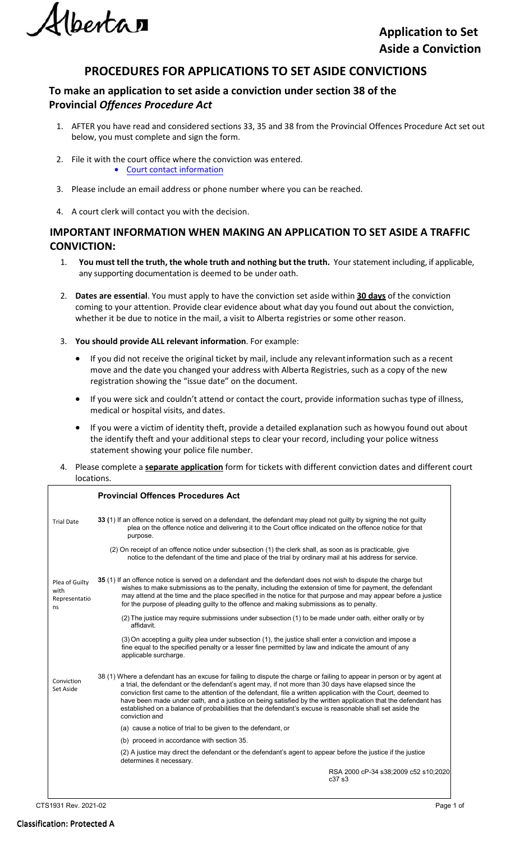*lberta* 

## **PROCEDURES FOR APPLICATIONS TO SET ASIDE CONVICTIONS**

## **To make an application to set aside a conviction under section 38 of the Provincial** *Offences Procedure Act*

- 1. AFTER you have read and considered sections 33, 35 and 38 from the Provincial Offences Procedure Act set out below, you must complete and sign the form.
- 2. File it with the court office where the conviction was entered. • [Court contact information](https://albertacourts.ca/pc/court-practice-and-schedules/Contact)
- 3. Please include an email address or phone number where you can be reached.
- 4. A court clerk will contact you with the decision.

### **IMPORTANT INFORMATION WHEN MAKING AN APPLICATION TO SET ASIDE A TRAFFIC CONVICTION:**

- 1. **You must tell the truth, the whole truth and nothing butthe truth.** Your statement including, if applicable, any supporting documentation is deemed to be under oath.
- 2. **Dates are essential**. You must apply to have the conviction set aside within **30 days** of the conviction coming to your attention. Provide clear evidence about what day you found out about the conviction, whether it be due to notice in the mail, a visit to Alberta registries or some other reason.
- 3. **You should provide ALL relevant information**. For example:
	- If you did not receive the original ticket by mail, include any relevantinformation such as a recent move and the date you changed your address with Alberta Registries, such as a copy of the new registration showing the "issue date" on the document.
	- If you were sick and couldn't attend or contact the court, provide information suchas type of illness, medical or hospital visits, and dates.
	- If you were a victim of identity theft, provide a detailed explanation such as howyou found out about the identify theft and your additional steps to clear your record, including your police witness statement showing your police file number.
- 4. Please complete a **separate application** form for tickets with different conviction dates and different court locations.

|                                               | <b>Provincial Offences Procedures Act</b>                                                                                                                                                                                                                                                                                                                                                                                                                                                                                                                                                     |  |
|-----------------------------------------------|-----------------------------------------------------------------------------------------------------------------------------------------------------------------------------------------------------------------------------------------------------------------------------------------------------------------------------------------------------------------------------------------------------------------------------------------------------------------------------------------------------------------------------------------------------------------------------------------------|--|
| <b>Trial Date</b>                             | 33 (1) If an offence notice is served on a defendant, the defendant may plead not guilty by signing the not guilty<br>plea on the offence notice and delivering it to the Court office indicated on the offence notice for that<br>purpose.                                                                                                                                                                                                                                                                                                                                                   |  |
|                                               | (2) On receipt of an offence notice under subsection (1) the clerk shall, as soon as is practicable, give<br>notice to the defendant of the time and place of the trial by ordinary mail at his address for service.                                                                                                                                                                                                                                                                                                                                                                          |  |
| Plea of Guilty<br>with<br>Representatio<br>ns | 35 (1) If an offence notice is served on a defendant and the defendant does not wish to dispute the charge but<br>wishes to make submissions as to the penalty, including the extension of time for payment, the defendant<br>may attend at the time and the place specified in the notice for that purpose and may appear before a justice<br>for the purpose of pleading quilty to the offence and making submissions as to penalty.                                                                                                                                                        |  |
|                                               | (2) The justice may require submissions under subsection (1) to be made under oath, either orally or by<br>affidavit.                                                                                                                                                                                                                                                                                                                                                                                                                                                                         |  |
|                                               | (3) On accepting a guilty plea under subsection (1), the justice shall enter a conviction and impose a<br>fine equal to the specified penalty or a lesser fine permitted by law and indicate the amount of any<br>applicable surcharge.                                                                                                                                                                                                                                                                                                                                                       |  |
| Conviction<br>Set Aside                       | 38 (1) Where a defendant has an excuse for failing to dispute the charge or failing to appear in person or by agent at<br>a trial, the defendant or the defendant's agent may, if not more than 30 days have elapsed since the<br>conviction first came to the attention of the defendant, file a written application with the Court, deemed to<br>have been made under oath, and a justice on being satisfied by the written application that the defendant has<br>established on a balance of probabilities that the defendant's excuse is reasonable shall set aside the<br>conviction and |  |
|                                               | (a) cause a notice of trial to be given to the defendant, or                                                                                                                                                                                                                                                                                                                                                                                                                                                                                                                                  |  |
|                                               | (b) proceed in accordance with section 35.                                                                                                                                                                                                                                                                                                                                                                                                                                                                                                                                                    |  |
|                                               | (2) A justice may direct the defendant or the defendant's agent to appear before the justice if the justice<br>determines it necessary.                                                                                                                                                                                                                                                                                                                                                                                                                                                       |  |
|                                               | RSA 2000 cP-34 s38;2009 c52 s10;2020<br>c37s3                                                                                                                                                                                                                                                                                                                                                                                                                                                                                                                                                 |  |
|                                               |                                                                                                                                                                                                                                                                                                                                                                                                                                                                                                                                                                                               |  |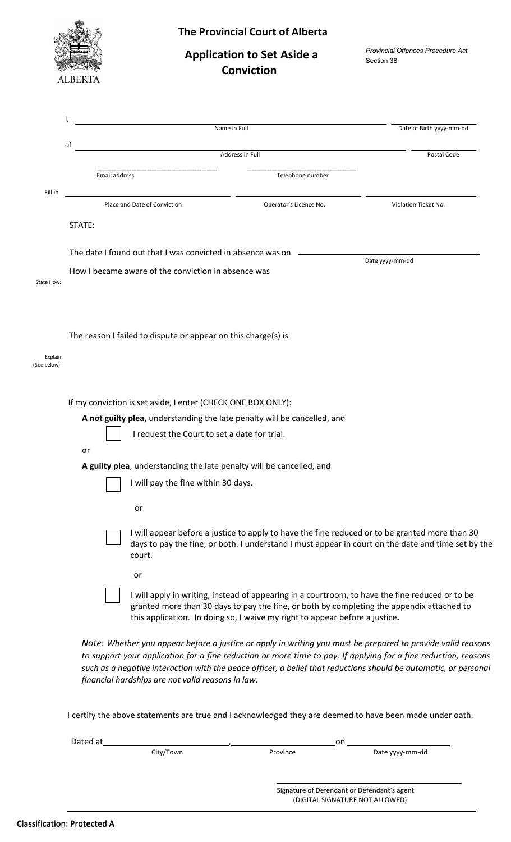

## **The Provincial Court of Alberta**

# **Application to Set Aside a Conviction**

*Provincial Offences Procedure Act* Section 38

|                        |    |                                                                          |                                                               | Name in Full                                                                     | Date of Birth yyyy-mm-dd                                                                                                                                                                                                                                                                                                                           |  |  |  |
|------------------------|----|--------------------------------------------------------------------------|---------------------------------------------------------------|----------------------------------------------------------------------------------|----------------------------------------------------------------------------------------------------------------------------------------------------------------------------------------------------------------------------------------------------------------------------------------------------------------------------------------------------|--|--|--|
|                        | of |                                                                          |                                                               |                                                                                  |                                                                                                                                                                                                                                                                                                                                                    |  |  |  |
|                        |    |                                                                          |                                                               | Address in Full                                                                  | Postal Code                                                                                                                                                                                                                                                                                                                                        |  |  |  |
|                        |    | Email address                                                            |                                                               | Telephone number                                                                 |                                                                                                                                                                                                                                                                                                                                                    |  |  |  |
| Fill in                |    | Place and Date of Conviction                                             |                                                               | Operator's Licence No.                                                           | Violation Ticket No.                                                                                                                                                                                                                                                                                                                               |  |  |  |
|                        |    | STATE:                                                                   |                                                               |                                                                                  |                                                                                                                                                                                                                                                                                                                                                    |  |  |  |
|                        |    |                                                                          |                                                               | The date I found out that I was convicted in absence was on ____________________ | Date yyyy-mm-dd                                                                                                                                                                                                                                                                                                                                    |  |  |  |
| State How:             |    |                                                                          | How I became aware of the conviction in absence was           |                                                                                  |                                                                                                                                                                                                                                                                                                                                                    |  |  |  |
|                        |    |                                                                          |                                                               |                                                                                  |                                                                                                                                                                                                                                                                                                                                                    |  |  |  |
| Explain<br>(See below) |    |                                                                          | The reason I failed to dispute or appear on this charge(s) is |                                                                                  |                                                                                                                                                                                                                                                                                                                                                    |  |  |  |
|                        |    | If my conviction is set aside, I enter (CHECK ONE BOX ONLY):             |                                                               |                                                                                  |                                                                                                                                                                                                                                                                                                                                                    |  |  |  |
|                        |    | A not guilty plea, understanding the late penalty will be cancelled, and |                                                               |                                                                                  |                                                                                                                                                                                                                                                                                                                                                    |  |  |  |
|                        |    | or                                                                       | I request the Court to set a date for trial.                  |                                                                                  |                                                                                                                                                                                                                                                                                                                                                    |  |  |  |
|                        |    | A guilty plea, understanding the late penalty will be cancelled, and     |                                                               |                                                                                  |                                                                                                                                                                                                                                                                                                                                                    |  |  |  |
|                        |    |                                                                          | I will pay the fine within 30 days.                           |                                                                                  |                                                                                                                                                                                                                                                                                                                                                    |  |  |  |
|                        |    |                                                                          | or                                                            |                                                                                  |                                                                                                                                                                                                                                                                                                                                                    |  |  |  |
|                        |    |                                                                          | court.                                                        |                                                                                  | I will appear before a justice to apply to have the fine reduced or to be granted more than 30<br>days to pay the fine, or both. I understand I must appear in court on the date and time set by the                                                                                                                                               |  |  |  |
|                        |    |                                                                          | or                                                            |                                                                                  |                                                                                                                                                                                                                                                                                                                                                    |  |  |  |
|                        |    |                                                                          |                                                               | this application. In doing so, I waive my right to appear before a justice.      | I will apply in writing, instead of appearing in a courtroom, to have the fine reduced or to be<br>granted more than 30 days to pay the fine, or both by completing the appendix attached to                                                                                                                                                       |  |  |  |
|                        |    |                                                                          | financial hardships are not valid reasons in law.             |                                                                                  | Note: Whether you appear before a justice or apply in writing you must be prepared to provide valid reasons<br>to support your application for a fine reduction or more time to pay. If applying for a fine reduction, reasons<br>such as a negative interaction with the peace officer, a belief that reductions should be automatic, or personal |  |  |  |

I certify the above statements are true and I acknowledged they are deemed to have been made under oath.

| Dated at |           | on       |                                             |  |
|----------|-----------|----------|---------------------------------------------|--|
|          | City/Town | Province | Date yyyy-mm-dd                             |  |
|          |           |          |                                             |  |
|          |           |          |                                             |  |
|          |           |          | Signature of Defendant or Defendant's agent |  |
|          |           |          | (DIGITAL SIGNATURE NOT ALLOWED)             |  |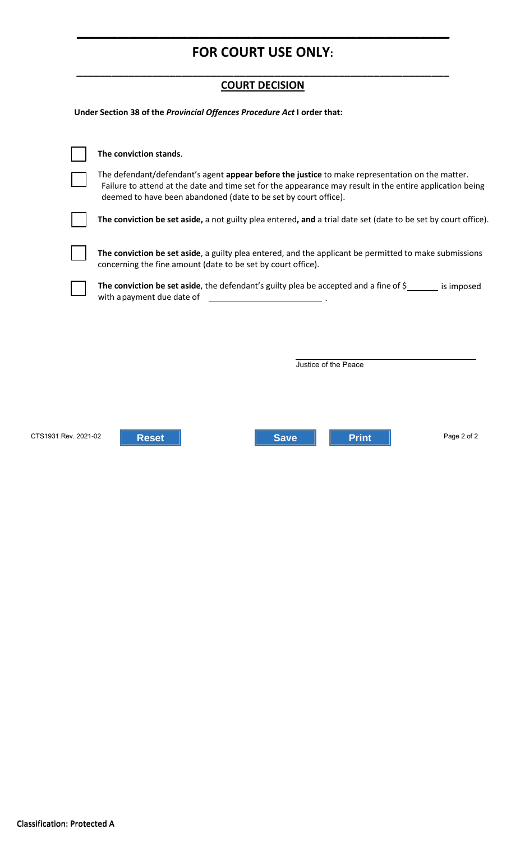# **FOR COURT USE ONLY:**

**\_\_\_\_\_\_\_\_\_\_\_\_\_\_\_\_\_\_\_\_\_\_\_\_\_\_\_\_\_\_\_\_\_\_\_\_\_\_\_\_\_\_\_\_\_\_\_\_\_\_\_\_\_\_\_\_\_\_\_\_\_\_\_\_**

## **\_\_\_\_\_\_\_\_\_\_\_\_\_\_\_\_\_\_\_\_\_\_\_\_\_\_\_\_\_\_\_\_\_\_\_\_\_\_\_\_\_\_\_\_\_\_\_\_\_\_\_\_\_\_\_\_\_\_\_\_\_\_\_\_ COURT DECISION**

**Under Section 38 of the** *Provincial Offences Procedure Act* **I order that:** 

|                      | The conviction stands.                                                                                                                                                                                                                                                                                                                            |  |  |  |  |
|----------------------|---------------------------------------------------------------------------------------------------------------------------------------------------------------------------------------------------------------------------------------------------------------------------------------------------------------------------------------------------|--|--|--|--|
|                      | The defendant/defendant's agent appear before the justice to make representation on the matter.<br>Failure to attend at the date and time set for the appearance may result in the entire application being<br>deemed to have been abandoned (date to be set by court office).                                                                    |  |  |  |  |
|                      | The conviction be set aside, a not guilty plea entered, and a trial date set (date to be set by court office).                                                                                                                                                                                                                                    |  |  |  |  |
|                      | The conviction be set aside, a guilty plea entered, and the applicant be permitted to make submissions<br>concerning the fine amount (date to be set by court office).                                                                                                                                                                            |  |  |  |  |
|                      | The conviction be set aside, the defendant's guilty plea be accepted and a fine of $\zeta$ is imposed<br>with a payment due date of<br>$\overline{\phantom{a}}$ . The contract of $\overline{\phantom{a}}$ , $\overline{\phantom{a}}$ , $\overline{\phantom{a}}$ , $\overline{\phantom{a}}$ , $\overline{\phantom{a}}$ , $\overline{\phantom{a}}$ |  |  |  |  |
|                      |                                                                                                                                                                                                                                                                                                                                                   |  |  |  |  |
|                      |                                                                                                                                                                                                                                                                                                                                                   |  |  |  |  |
|                      | Justice of the Peace                                                                                                                                                                                                                                                                                                                              |  |  |  |  |
|                      |                                                                                                                                                                                                                                                                                                                                                   |  |  |  |  |
|                      |                                                                                                                                                                                                                                                                                                                                                   |  |  |  |  |
|                      |                                                                                                                                                                                                                                                                                                                                                   |  |  |  |  |
| CTS1931 Rev. 2021-02 | Page 2 of 2<br><b>Print</b><br><b>Reset</b><br><b>Save</b>                                                                                                                                                                                                                                                                                        |  |  |  |  |